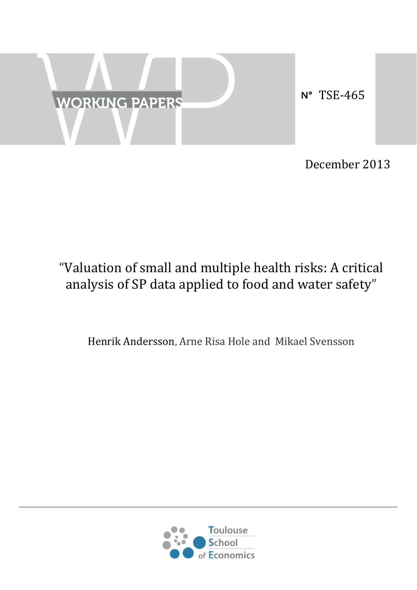

December 2013

# "Valuation of small and multiple health risks: A critical analysis of SP data applied to food and water safety"

Henrik Andersson, Arne Risa Hole and Mikael Svensson

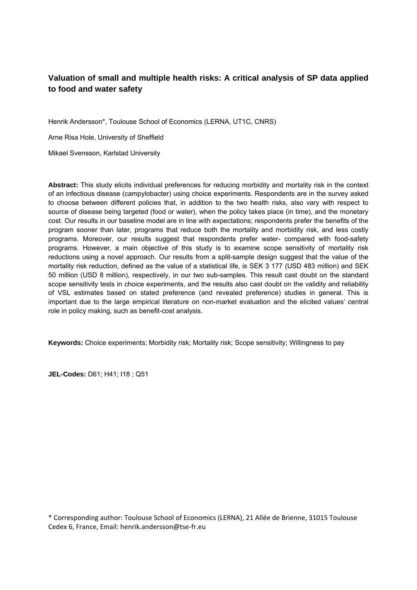# **Valuation of small and multiple health risks: A critical analysis of SP data applied to food and water safety**

Henrik Andersson\*, Toulouse School of Economics (LERNA, UT1C, CNRS)

Arne Risa Hole, University of Sheffield

Mikael Svensson, Karlstad University

**Abstract:** This study elicits individual preferences for reducing morbidity and mortality risk in the context of an infectious disease (campylobacter) using choice experiments. Respondents are in the survey asked to choose between different policies that, in addition to the two health risks, also vary with respect to source of disease being targeted (food or water), when the policy takes place (in time), and the monetary cost. Our results in our baseline model are in line with expectations; respondents prefer the benefits of the program sooner than later, programs that reduce both the mortality and morbidity risk, and less costly programs. Moreover, our results suggest that respondents prefer water- compared with food-safety programs. However, a main objective of this study is to examine scope sensitivity of mortality risk reductions using a novel approach. Our results from a split-sample design suggest that the value of the mortality risk reduction, defined as the value of a statistical life, is SEK 3 177 (USD 483 million) and SEK 50 million (USD 8 million), respectively, in our two sub-samples. This result cast doubt on the standard scope sensitivity tests in choice experiments, and the results also cast doubt on the validity and reliability of VSL estimates based on stated preference (and revealed preference) studies in general. This is important due to the large empirical literature on non-market evaluation and the elicited values' central role in policy making, such as benefit-cost analysis.

**Keywords:** Choice experiments; Morbidity risk; Mortality risk; Scope sensitivity; Willingness to pay

**JEL-Codes:** D61; H41; I18 ; Q51

\* Corresponding author: Toulouse School of Economics (LERNA), 21 Allée de Brienne, 31015 Toulouse Cedex 6, France, Email: henrik.andersson@tse‐fr.eu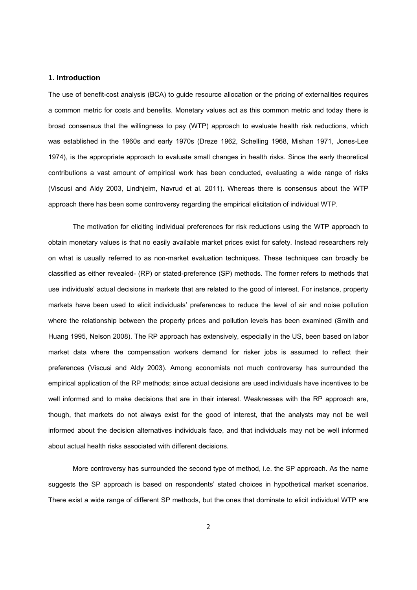#### **1. Introduction**

The use of benefit-cost analysis (BCA) to guide resource allocation or the pricing of externalities requires a common metric for costs and benefits. Monetary values act as this common metric and today there is broad consensus that the willingness to pay (WTP) approach to evaluate health risk reductions, which was established in the 1960s and early 1970s (Dreze 1962, Schelling 1968, Mishan 1971, Jones-Lee 1974), is the appropriate approach to evaluate small changes in health risks. Since the early theoretical contributions a vast amount of empirical work has been conducted, evaluating a wide range of risks (Viscusi and Aldy 2003, Lindhjelm, Navrud et al. 2011). Whereas there is consensus about the WTP approach there has been some controversy regarding the empirical elicitation of individual WTP.

The motivation for eliciting individual preferences for risk reductions using the WTP approach to obtain monetary values is that no easily available market prices exist for safety. Instead researchers rely on what is usually referred to as non-market evaluation techniques. These techniques can broadly be classified as either revealed- (RP) or stated-preference (SP) methods. The former refers to methods that use individuals' actual decisions in markets that are related to the good of interest. For instance, property markets have been used to elicit individuals' preferences to reduce the level of air and noise pollution where the relationship between the property prices and pollution levels has been examined (Smith and Huang 1995, Nelson 2008). The RP approach has extensively, especially in the US, been based on labor market data where the compensation workers demand for risker jobs is assumed to reflect their preferences (Viscusi and Aldy 2003). Among economists not much controversy has surrounded the empirical application of the RP methods; since actual decisions are used individuals have incentives to be well informed and to make decisions that are in their interest. Weaknesses with the RP approach are, though, that markets do not always exist for the good of interest, that the analysts may not be well informed about the decision alternatives individuals face, and that individuals may not be well informed about actual health risks associated with different decisions.

More controversy has surrounded the second type of method, i.e. the SP approach. As the name suggests the SP approach is based on respondents' stated choices in hypothetical market scenarios. There exist a wide range of different SP methods, but the ones that dominate to elicit individual WTP are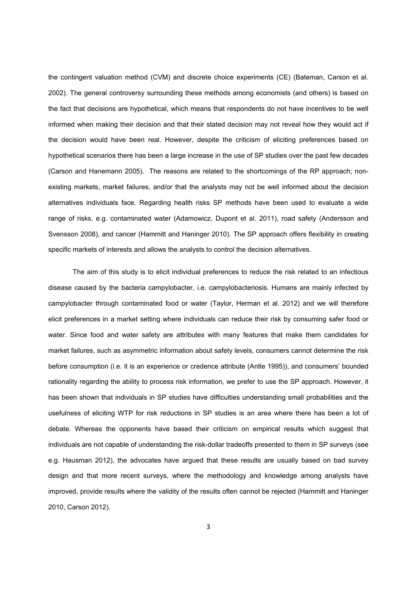the contingent valuation method (CVM) and discrete choice experiments (CE) (Bateman, Carson et al. 2002). The general controversy surrounding these methods among economists (and others) is based on the fact that decisions are hypothetical, which means that respondents do not have incentives to be well informed when making their decision and that their stated decision may not reveal how they would act if the decision would have been real. However, despite the criticism of eliciting preferences based on hypothetical scenarios there has been a large increase in the use of SP studies over the past few decades (Carson and Hanemann 2005). The reasons are related to the shortcomings of the RP approach; nonexisting markets, market failures, and/or that the analysts may not be well informed about the decision alternatives individuals face. Regarding health risks SP methods have been used to evaluate a wide range of risks, e.g. contaminated water (Adamowicz, Dupont et al. 2011), road safety (Andersson and Svensson 2008), and cancer (Hammitt and Haninger 2010). The SP approach offers flexibility in creating specific markets of interests and allows the analysts to control the decision alternatives.

The aim of this study is to elicit individual preferences to reduce the risk related to an infectious disease caused by the bacteria campylobacter, i.e. campylobacteriosis. Humans are mainly infected by campylobacter through contaminated food or water (Taylor, Herman et al. 2012) and we will therefore elicit preferences in a market setting where individuals can reduce their risk by consuming safer food or water. Since food and water safety are attributes with many features that make them candidates for market failures, such as asymmetric information about safety levels, consumers cannot determine the risk before consumption (i.e. it is an experience or credence attribute (Antle 1995)), and consumers' bounded rationality regarding the ability to process risk information, we prefer to use the SP approach. However, it has been shown that individuals in SP studies have difficulties understanding small probabilities and the usefulness of eliciting WTP for risk reductions in SP studies is an area where there has been a lot of debate. Whereas the opponents have based their criticism on empirical results which suggest that individuals are not capable of understanding the risk-dollar tradeoffs presented to them in SP surveys (see e.g. Hausman 2012), the advocates have argued that these results are usually based on bad survey design and that more recent surveys, where the methodology and knowledge among analysts have improved, provide results where the validity of the results often cannot be rejected (Hammitt and Haninger 2010, Carson 2012).

3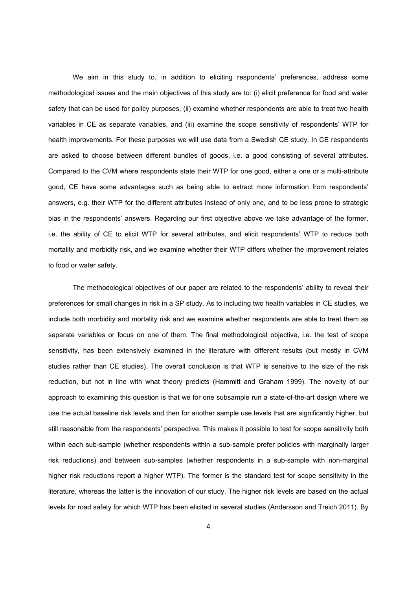We aim in this study to, in addition to eliciting respondents' preferences, address some methodological issues and the main objectives of this study are to: (i) elicit preference for food and water safety that can be used for policy purposes, (ii) examine whether respondents are able to treat two health variables in CE as separate variables, and (iii) examine the scope sensitivity of respondents' WTP for health improvements. For these purposes we will use data from a Swedish CE study. In CE respondents are asked to choose between different bundles of goods, i.e. a good consisting of several attributes. Compared to the CVM where respondents state their WTP for one good, either a one or a multi-attribute good, CE have some advantages such as being able to extract more information from respondents' answers, e.g. their WTP for the different attributes instead of only one, and to be less prone to strategic bias in the respondents' answers. Regarding our first objective above we take advantage of the former, i.e. the ability of CE to elicit WTP for several attributes, and elicit respondents' WTP to reduce both mortality and morbidity risk, and we examine whether their WTP differs whether the improvement relates to food or water safety.

The methodological objectives of our paper are related to the respondents' ability to reveal their preferences for small changes in risk in a SP study. As to including two health variables in CE studies, we include both morbidity and mortality risk and we examine whether respondents are able to treat them as separate variables or focus on one of them. The final methodological objective, i.e. the test of scope sensitivity, has been extensively examined in the literature with different results (but mostly in CVM studies rather than CE studies). The overall conclusion is that WTP is sensitive to the size of the risk reduction, but not in line with what theory predicts (Hammitt and Graham 1999). The novelty of our approach to examining this question is that we for one subsample run a state-of-the-art design where we use the actual baseline risk levels and then for another sample use levels that are significantly higher, but still reasonable from the respondents' perspective. This makes it possible to test for scope sensitivity both within each sub-sample (whether respondents within a sub-sample prefer policies with marginally larger risk reductions) and between sub-samples (whether respondents in a sub-sample with non-marginal higher risk reductions report a higher WTP). The former is the standard test for scope sensitivity in the literature, whereas the latter is the innovation of our study. The higher risk levels are based on the actual levels for road safety for which WTP has been elicited in several studies (Andersson and Treich 2011). By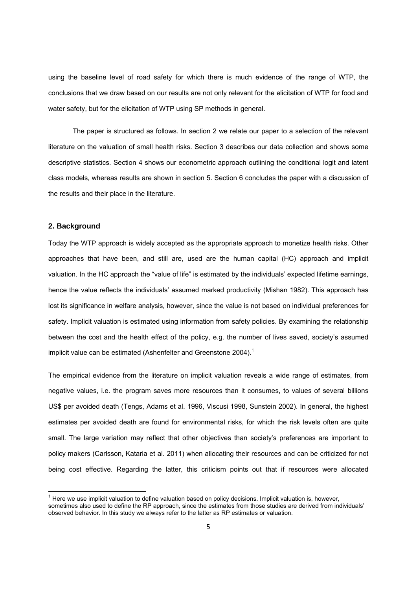using the baseline level of road safety for which there is much evidence of the range of WTP, the conclusions that we draw based on our results are not only relevant for the elicitation of WTP for food and water safety, but for the elicitation of WTP using SP methods in general.

The paper is structured as follows. In section 2 we relate our paper to a selection of the relevant literature on the valuation of small health risks. Section 3 describes our data collection and shows some descriptive statistics. Section 4 shows our econometric approach outlining the conditional logit and latent class models, whereas results are shown in section 5. Section 6 concludes the paper with a discussion of the results and their place in the literature.

## **2. Background**

<u> - Andreas Andreas Andreas Andreas Andreas Andreas Andreas Andreas Andreas Andreas Andreas Andreas Andreas Andr</u>

Today the WTP approach is widely accepted as the appropriate approach to monetize health risks. Other approaches that have been, and still are, used are the human capital (HC) approach and implicit valuation. In the HC approach the "value of life" is estimated by the individuals' expected lifetime earnings, hence the value reflects the individuals' assumed marked productivity (Mishan 1982). This approach has lost its significance in welfare analysis, however, since the value is not based on individual preferences for safety. Implicit valuation is estimated using information from safety policies. By examining the relationship between the cost and the health effect of the policy, e.g. the number of lives saved, society's assumed implicit value can be estimated (Ashenfelter and Greenstone  $2004$ ).<sup>1</sup>

The empirical evidence from the literature on implicit valuation reveals a wide range of estimates, from negative values, i.e. the program saves more resources than it consumes, to values of several billions US\$ per avoided death (Tengs, Adams et al. 1996, Viscusi 1998, Sunstein 2002). In general, the highest estimates per avoided death are found for environmental risks, for which the risk levels often are quite small. The large variation may reflect that other objectives than society's preferences are important to policy makers (Carlsson, Kataria et al. 2011) when allocating their resources and can be criticized for not being cost effective. Regarding the latter, this criticism points out that if resources were allocated

 $1$  Here we use implicit valuation to define valuation based on policy decisions. Implicit valuation is, however,

sometimes also used to define the RP approach, since the estimates from those studies are derived from individuals' observed behavior. In this study we always refer to the latter as RP estimates or valuation.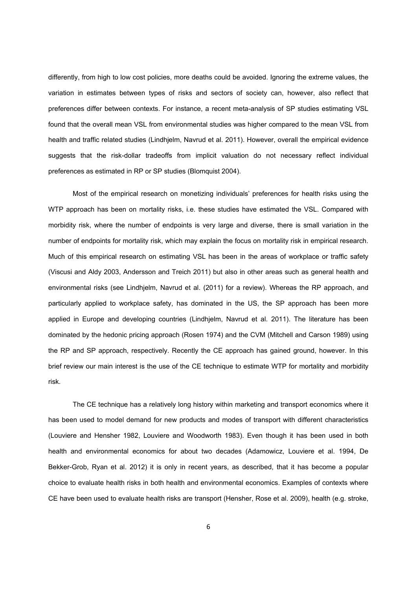differently, from high to low cost policies, more deaths could be avoided. Ignoring the extreme values, the variation in estimates between types of risks and sectors of society can, however, also reflect that preferences differ between contexts. For instance, a recent meta-analysis of SP studies estimating VSL found that the overall mean VSL from environmental studies was higher compared to the mean VSL from health and traffic related studies (Lindhjelm, Navrud et al. 2011). However, overall the empirical evidence suggests that the risk-dollar tradeoffs from implicit valuation do not necessary reflect individual preferences as estimated in RP or SP studies (Blomquist 2004).

Most of the empirical research on monetizing individuals' preferences for health risks using the WTP approach has been on mortality risks, i.e. these studies have estimated the VSL. Compared with morbidity risk, where the number of endpoints is very large and diverse, there is small variation in the number of endpoints for mortality risk, which may explain the focus on mortality risk in empirical research. Much of this empirical research on estimating VSL has been in the areas of workplace or traffic safety (Viscusi and Aldy 2003, Andersson and Treich 2011) but also in other areas such as general health and environmental risks (see Lindhjelm, Navrud et al. (2011) for a review). Whereas the RP approach, and particularly applied to workplace safety, has dominated in the US, the SP approach has been more applied in Europe and developing countries (Lindhjelm, Navrud et al. 2011). The literature has been dominated by the hedonic pricing approach (Rosen 1974) and the CVM (Mitchell and Carson 1989) using the RP and SP approach, respectively. Recently the CE approach has gained ground, however. In this brief review our main interest is the use of the CE technique to estimate WTP for mortality and morbidity risk.

The CE technique has a relatively long history within marketing and transport economics where it has been used to model demand for new products and modes of transport with different characteristics (Louviere and Hensher 1982, Louviere and Woodworth 1983). Even though it has been used in both health and environmental economics for about two decades (Adamowicz, Louviere et al. 1994, De Bekker-Grob, Ryan et al. 2012) it is only in recent years, as described, that it has become a popular choice to evaluate health risks in both health and environmental economics. Examples of contexts where CE have been used to evaluate health risks are transport (Hensher, Rose et al. 2009), health (e.g. stroke,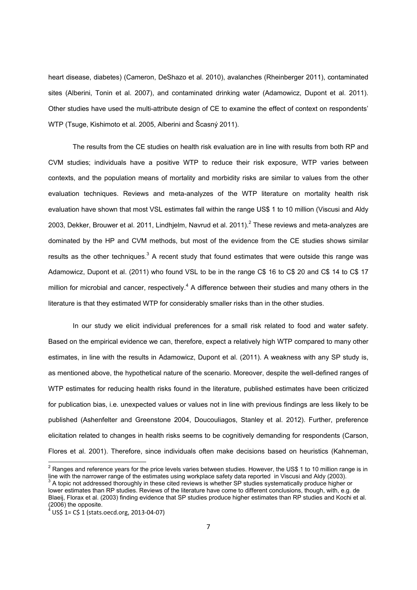heart disease, diabetes) (Cameron, DeShazo et al. 2010), avalanches (Rheinberger 2011), contaminated sites (Alberini, Tonin et al. 2007), and contaminated drinking water (Adamowicz, Dupont et al. 2011). Other studies have used the multi-attribute design of CE to examine the effect of context on respondents' WTP (Tsuge, Kishimoto et al. 2005, Alberini and Šcasný 2011).

The results from the CE studies on health risk evaluation are in line with results from both RP and CVM studies; individuals have a positive WTP to reduce their risk exposure, WTP varies between contexts, and the population means of mortality and morbidity risks are similar to values from the other evaluation techniques. Reviews and meta-analyzes of the WTP literature on mortality health risk evaluation have shown that most VSL estimates fall within the range US\$ 1 to 10 million (Viscusi and Aldy 2003, Dekker, Brouwer et al. 2011, Lindhjelm, Navrud et al. 2011). $^2$  These reviews and meta-analyzes are dominated by the HP and CVM methods, but most of the evidence from the CE studies shows similar results as the other techniques. $3$  A recent study that found estimates that were outside this range was Adamowicz, Dupont et al. (2011) who found VSL to be in the range C\$ 16 to C\$ 20 and C\$ 14 to C\$ 17 million for microbial and cancer, respectively.<sup>4</sup> A difference between their studies and many others in the literature is that they estimated WTP for considerably smaller risks than in the other studies.

In our study we elicit individual preferences for a small risk related to food and water safety. Based on the empirical evidence we can, therefore, expect a relatively high WTP compared to many other estimates, in line with the results in Adamowicz, Dupont et al. (2011). A weakness with any SP study is, as mentioned above, the hypothetical nature of the scenario. Moreover, despite the well-defined ranges of WTP estimates for reducing health risks found in the literature, published estimates have been criticized for publication bias, i.e. unexpected values or values not in line with previous findings are less likely to be published (Ashenfelter and Greenstone 2004, Doucouliagos, Stanley et al. 2012). Further, preference elicitation related to changes in health risks seems to be cognitively demanding for respondents (Carson, Flores et al. 2001). Therefore, since individuals often make decisions based on heuristics (Kahneman,

<sup>&</sup>lt;sup>2</sup> Ranges and reference years for the price levels varies between studies. However, the US\$ 1 to 10 million range is in line with the narrower range of the estimates using workplace safety data reported in Viscusi and Aldy (2003).

A topic not addressed thoroughly in these cited reviews is whether SP studies systematically produce higher or lower estimates than RP studies. Reviews of the literature have come to different conclusions, though, with, e.g. de Blaeij, Florax et al. (2003) finding evidence that SP studies produce higher estimates than RP studies and Kochi et al. (2006) the opposite.

 $4$  USS 1= CS 1 (stats.oecd.org, 2013-04-07)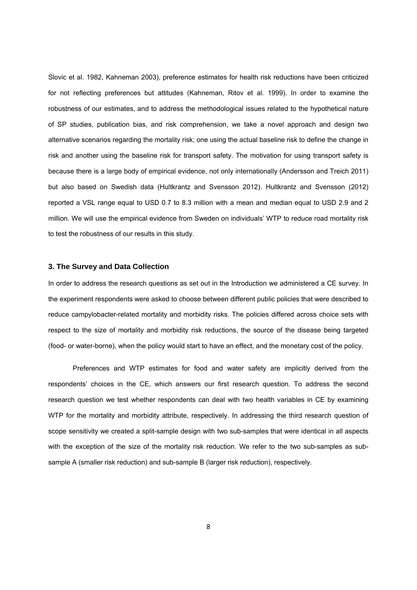Slovic et al. 1982, Kahneman 2003), preference estimates for health risk reductions have been criticized for not reflecting preferences but attitudes (Kahneman, Ritov et al. 1999). In order to examine the robustness of our estimates, and to address the methodological issues related to the hypothetical nature of SP studies, publication bias, and risk comprehension, we take a novel approach and design two alternative scenarios regarding the mortality risk; one using the actual baseline risk to define the change in risk and another using the baseline risk for transport safety. The motivation for using transport safety is because there is a large body of empirical evidence, not only internationally (Andersson and Treich 2011) but also based on Swedish data (Hultkrantz and Svensson 2012). Hultkrantz and Svensson (2012) reported a VSL range equal to USD 0.7 to 8.3 million with a mean and median equal to USD 2.9 and 2 million. We will use the empirical evidence from Sweden on individuals' WTP to reduce road mortality risk to test the robustness of our results in this study.

#### **3. The Survey and Data Collection**

In order to address the research questions as set out in the Introduction we administered a CE survey. In the experiment respondents were asked to choose between different public policies that were described to reduce campylobacter-related mortality and morbidity risks. The policies differed across choice sets with respect to the size of mortality and morbidity risk reductions, the source of the disease being targeted (food- or water-borne), when the policy would start to have an effect, and the monetary cost of the policy.

Preferences and WTP estimates for food and water safety are implicitly derived from the respondents' choices in the CE, which answers our first research question. To address the second research question we test whether respondents can deal with two health variables in CE by examining WTP for the mortality and morbidity attribute, respectively. In addressing the third research question of scope sensitivity we created a split-sample design with two sub-samples that were identical in all aspects with the exception of the size of the mortality risk reduction. We refer to the two sub-samples as subsample A (smaller risk reduction) and sub-sample B (larger risk reduction), respectively.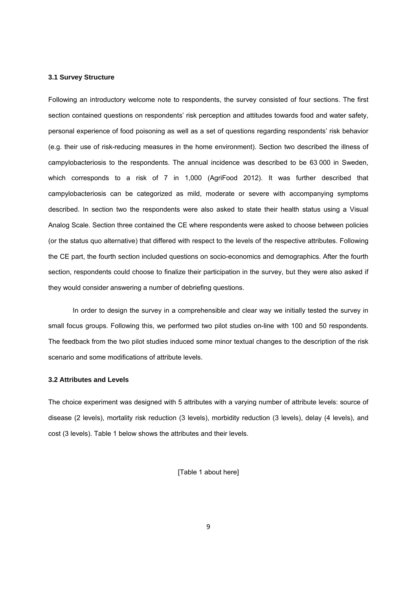#### **3.1 Survey Structure**

Following an introductory welcome note to respondents, the survey consisted of four sections. The first section contained questions on respondents' risk perception and attitudes towards food and water safety, personal experience of food poisoning as well as a set of questions regarding respondents' risk behavior (e.g. their use of risk-reducing measures in the home environment). Section two described the illness of campylobacteriosis to the respondents. The annual incidence was described to be 63 000 in Sweden, which corresponds to a risk of 7 in 1,000 (AgriFood 2012). It was further described that campylobacteriosis can be categorized as mild, moderate or severe with accompanying symptoms described. In section two the respondents were also asked to state their health status using a Visual Analog Scale. Section three contained the CE where respondents were asked to choose between policies (or the status quo alternative) that differed with respect to the levels of the respective attributes. Following the CE part, the fourth section included questions on socio-economics and demographics. After the fourth section, respondents could choose to finalize their participation in the survey, but they were also asked if they would consider answering a number of debriefing questions.

In order to design the survey in a comprehensible and clear way we initially tested the survey in small focus groups. Following this, we performed two pilot studies on-line with 100 and 50 respondents. The feedback from the two pilot studies induced some minor textual changes to the description of the risk scenario and some modifications of attribute levels.

## **3.2 Attributes and Levels**

The choice experiment was designed with 5 attributes with a varying number of attribute levels: source of disease (2 levels), mortality risk reduction (3 levels), morbidity reduction (3 levels), delay (4 levels), and cost (3 levels). Table 1 below shows the attributes and their levels.

[Table 1 about here]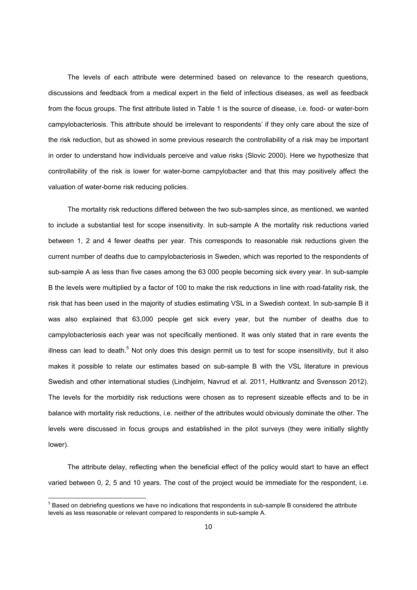The levels of each attribute were determined based on relevance to the research questions, discussions and feedback from a medical expert in the field of infectious diseases, as well as feedback from the focus groups. The first attribute listed in Table 1 is the source of disease, i.e. food- or water-born campylobacteriosis. This attribute should be irrelevant to respondents' if they only care about the size of the risk reduction, but as showed in some previous research the controllability of a risk may be important in order to understand how individuals perceive and value risks (Slovic 2000). Here we hypothesize that controllability of the risk is lower for water-borne campylobacter and that this may positively affect the valuation of water-borne risk reducing policies.

 The mortality risk reductions differed between the two sub-samples since, as mentioned, we wanted to include a substantial test for scope insensitivity. In sub-sample A the mortality risk reductions varied between 1, 2 and 4 fewer deaths per year. This corresponds to reasonable risk reductions given the current number of deaths due to campylobacteriosis in Sweden, which was reported to the respondents of sub-sample A as less than five cases among the 63 000 people becoming sick every year. In sub-sample B the levels were multiplied by a factor of 100 to make the risk reductions in line with road-fatality risk, the risk that has been used in the majority of studies estimating VSL in a Swedish context. In sub-sample B it was also explained that 63,000 people get sick every year, but the number of deaths due to campylobacteriosis each year was not specifically mentioned. It was only stated that in rare events the illness can lead to death.<sup>5</sup> Not only does this design permit us to test for scope insensitivity, but it also makes it possible to relate our estimates based on sub-sample B with the VSL literature in previous Swedish and other international studies (Lindhjelm, Navrud et al. 2011, Hultkrantz and Svensson 2012). The levels for the morbidity risk reductions were chosen as to represent sizeable effects and to be in balance with mortality risk reductions, i.e. neither of the attributes would obviously dominate the other. The levels were discussed in focus groups and established in the pilot surveys (they were initially slightly lower).

 The attribute delay, reflecting when the beneficial effect of the policy would start to have an effect varied between 0, 2, 5 and 10 years. The cost of the project would be immediate for the respondent, i.e.

 $<sup>5</sup>$  Based on debriefing questions we have no indications that respondents in sub-sample B considered the attribute</sup> levels as less reasonable or relevant compared to respondents in sub-sample A.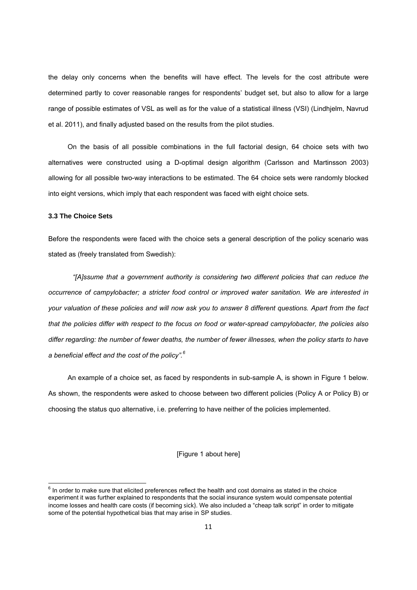the delay only concerns when the benefits will have effect. The levels for the cost attribute were determined partly to cover reasonable ranges for respondents' budget set, but also to allow for a large range of possible estimates of VSL as well as for the value of a statistical illness (VSI) (Lindhjelm, Navrud et al. 2011), and finally adjusted based on the results from the pilot studies.

 On the basis of all possible combinations in the full factorial design, 64 choice sets with two alternatives were constructed using a D-optimal design algorithm (Carlsson and Martinsson 2003) allowing for all possible two-way interactions to be estimated. The 64 choice sets were randomly blocked into eight versions, which imply that each respondent was faced with eight choice sets.

#### **3.3 The Choice Sets**

Before the respondents were faced with the choice sets a general description of the policy scenario was stated as (freely translated from Swedish):

*"[A]ssume that a government authority is considering two different policies that can reduce the occurrence of campylobacter; a stricter food control or improved water sanitation. We are interested in your valuation of these policies and will now ask you to answer 8 different questions. Apart from the fact that the policies differ with respect to the focus on food or water-spread campylobacter, the policies also differ regarding: the number of fewer deaths, the number of fewer illnesses, when the policy starts to have a beneficial effect and the cost of the policy".<sup>6</sup>*

 An example of a choice set, as faced by respondents in sub-sample A, is shown in Figure 1 below. As shown, the respondents were asked to choose between two different policies (Policy A or Policy B) or choosing the status quo alternative, i.e. preferring to have neither of the policies implemented.

#### [Figure 1 about here]

 $<sup>6</sup>$  In order to make sure that elicited preferences reflect the health and cost domains as stated in the choice</sup> experiment it was further explained to respondents that the social insurance system would compensate potential income losses and health care costs (if becoming sick). We also included a "cheap talk script" in order to mitigate some of the potential hypothetical bias that may arise in SP studies.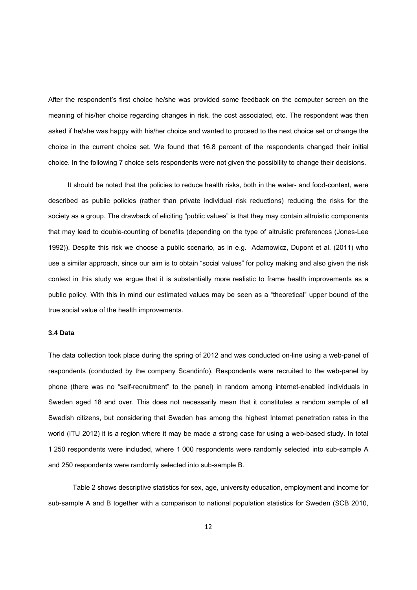After the respondent's first choice he/she was provided some feedback on the computer screen on the meaning of his/her choice regarding changes in risk, the cost associated, etc. The respondent was then asked if he/she was happy with his/her choice and wanted to proceed to the next choice set or change the choice in the current choice set. We found that 16.8 percent of the respondents changed their initial choice. In the following 7 choice sets respondents were not given the possibility to change their decisions.

 It should be noted that the policies to reduce health risks, both in the water- and food-context, were described as public policies (rather than private individual risk reductions) reducing the risks for the society as a group. The drawback of eliciting "public values" is that they may contain altruistic components that may lead to double-counting of benefits (depending on the type of altruistic preferences (Jones-Lee 1992)). Despite this risk we choose a public scenario, as in e.g. Adamowicz, Dupont et al. (2011) who use a similar approach, since our aim is to obtain "social values" for policy making and also given the risk context in this study we argue that it is substantially more realistic to frame health improvements as a public policy. With this in mind our estimated values may be seen as a "theoretical" upper bound of the true social value of the health improvements.

#### **3.4 Data**

The data collection took place during the spring of 2012 and was conducted on-line using a web-panel of respondents (conducted by the company Scandinfo). Respondents were recruited to the web-panel by phone (there was no "self-recruitment" to the panel) in random among internet-enabled individuals in Sweden aged 18 and over. This does not necessarily mean that it constitutes a random sample of all Swedish citizens, but considering that Sweden has among the highest Internet penetration rates in the world (ITU 2012) it is a region where it may be made a strong case for using a web-based study. In total 1 250 respondents were included, where 1 000 respondents were randomly selected into sub-sample A and 250 respondents were randomly selected into sub-sample B.

Table 2 shows descriptive statistics for sex, age, university education, employment and income for sub-sample A and B together with a comparison to national population statistics for Sweden (SCB 2010,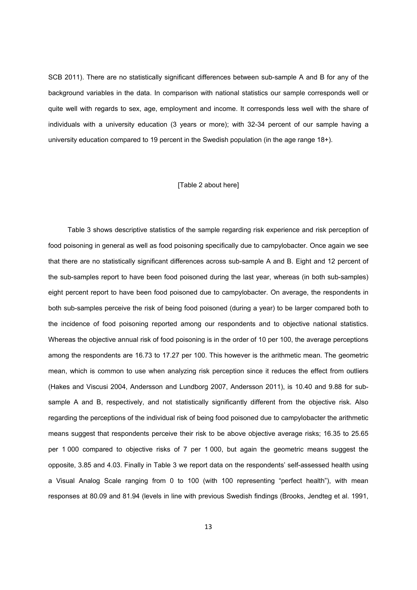SCB 2011). There are no statistically significant differences between sub-sample A and B for any of the background variables in the data. In comparison with national statistics our sample corresponds well or quite well with regards to sex, age, employment and income. It corresponds less well with the share of individuals with a university education (3 years or more); with 32-34 percent of our sample having a university education compared to 19 percent in the Swedish population (in the age range 18+).

#### [Table 2 about here]

 Table 3 shows descriptive statistics of the sample regarding risk experience and risk perception of food poisoning in general as well as food poisoning specifically due to campylobacter. Once again we see that there are no statistically significant differences across sub-sample A and B. Eight and 12 percent of the sub-samples report to have been food poisoned during the last year, whereas (in both sub-samples) eight percent report to have been food poisoned due to campylobacter. On average, the respondents in both sub-samples perceive the risk of being food poisoned (during a year) to be larger compared both to the incidence of food poisoning reported among our respondents and to objective national statistics. Whereas the objective annual risk of food poisoning is in the order of 10 per 100, the average perceptions among the respondents are 16.73 to 17.27 per 100. This however is the arithmetic mean. The geometric mean, which is common to use when analyzing risk perception since it reduces the effect from outliers (Hakes and Viscusi 2004, Andersson and Lundborg 2007, Andersson 2011), is 10.40 and 9.88 for subsample A and B, respectively, and not statistically significantly different from the objective risk. Also regarding the perceptions of the individual risk of being food poisoned due to campylobacter the arithmetic means suggest that respondents perceive their risk to be above objective average risks; 16.35 to 25.65 per 1 000 compared to objective risks of 7 per 1 000, but again the geometric means suggest the opposite, 3.85 and 4.03. Finally in Table 3 we report data on the respondents' self-assessed health using a Visual Analog Scale ranging from 0 to 100 (with 100 representing "perfect health"), with mean responses at 80.09 and 81.94 (levels in line with previous Swedish findings (Brooks, Jendteg et al. 1991,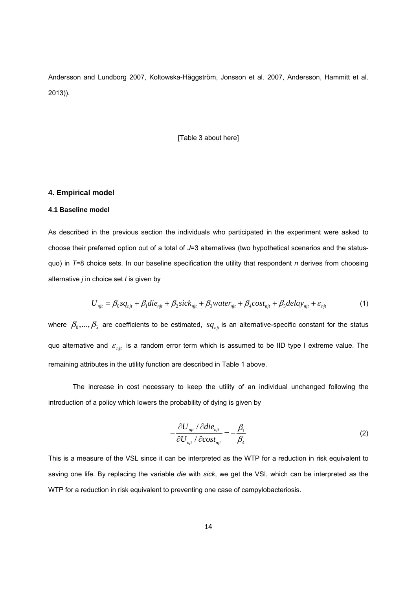Andersson and Lundborg 2007, Koltowska-Häggström, Jonsson et al. 2007, Andersson, Hammitt et al. 2013)).

[Table 3 about here]

#### **4. Empirical model**

#### **4.1 Baseline model**

As described in the previous section the individuals who participated in the experiment were asked to choose their preferred option out of a total of *J*=3 alternatives (two hypothetical scenarios and the statusquo) in *T*=8 choice sets. In our baseline specification the utility that respondent *n* derives from choosing alternative *j* in choice set *t* is given by

$$
U_{njt} = \beta_0 s q_{njt} + \beta_1 \text{die}_{njt} + \beta_2 \text{size}_{njt} + \beta_3 \text{water}_{njt} + \beta_4 \text{cost}_{njt} + \beta_5 \text{delay}_{njt} + \varepsilon_{njt}
$$
(1)

where  $\beta_0, ..., \beta_5$  are coefficients to be estimated,  $sq_{nji}$  is an alternative-specific constant for the status quo alternative and  $\varepsilon_{nji}$  is a random error term which is assumed to be IID type I extreme value. The remaining attributes in the utility function are described in Table 1 above.

The increase in cost necessary to keep the utility of an individual unchanged following the introduction of a policy which lowers the probability of dying is given by

$$
-\frac{\partial U_{njt}}{\partial U_{njt}}/\frac{\partial di e_{njt}}{\partial cost_{njt}} = -\frac{\beta_1}{\beta_4}
$$
 (2)

This is a measure of the VSL since it can be interpreted as the WTP for a reduction in risk equivalent to saving one life. By replacing the variable *die* with *sick*, we get the VSI, which can be interpreted as the WTP for a reduction in risk equivalent to preventing one case of campylobacteriosis.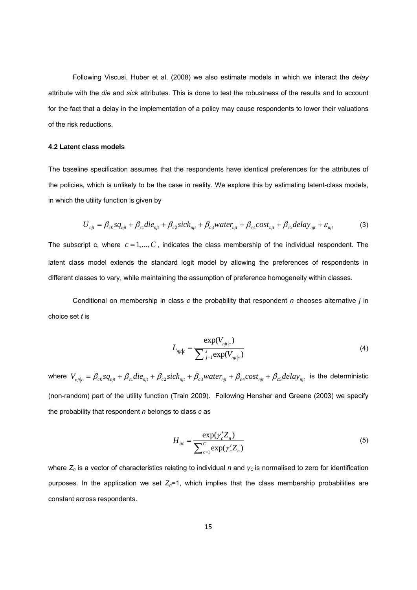Following Viscusi, Huber et al. (2008) we also estimate models in which we interact the *delay* attribute with the *die* and *sick* attributes. This is done to test the robustness of the results and to account for the fact that a delay in the implementation of a policy may cause respondents to lower their valuations of the risk reductions.

#### **4.2 Latent class models**

The baseline specification assumes that the respondents have identical preferences for the attributes of the policies, which is unlikely to be the case in reality. We explore this by estimating latent-class models, in which the utility function is given by

$$
U_{njt} = \beta_{c0} s q_{njt} + \beta_{c1} die_{njt} + \beta_{c2} sick_{njt} + \beta_{c3} water_{njt} + \beta_{c4} cost_{njt} + \beta_{c5} delay_{njt} + \varepsilon_{njt}
$$
(3)

The subscript c, where  $c = 1, ..., C$ , indicates the class membership of the individual respondent. The latent class model extends the standard logit model by allowing the preferences of respondents in different classes to vary, while maintaining the assumption of preference homogeneity within classes.

Conditional on membership in class *c* the probability that respondent *n* chooses alternative *j* in choice set *t* is

$$
L_{njl|c} = \frac{\exp(V_{njl|c})}{\sum_{j=1}^{J} \exp(V_{njl|c})}
$$
\n(4)

where  $V_{nji|c} = \beta_{c0} s q_{nji} + \beta_{c1} die_{nji} + \beta_{c2} sick_{nji} + \beta_{c3} water_{nji} + \beta_{c4} cost_{nji} + \beta_{c5} delay_{nji}$  is the deterministic (non-random) part of the utility function (Train 2009). Following Hensher and Greene (2003) we specify the probability that respondent *n* belongs to class *c* as

$$
H_{nc} = \frac{\exp(\gamma_c' Z_n)}{\sum_{c=1}^{C} \exp(\gamma_c' Z_n)}
$$
(5)

where *Z<sub>n</sub>* is a vector of characteristics relating to individual *n* and *γ<sub>C</sub>* is normalised to zero for identification purposes. In the application we set  $Z_n=1$ , which implies that the class membership probabilities are constant across respondents.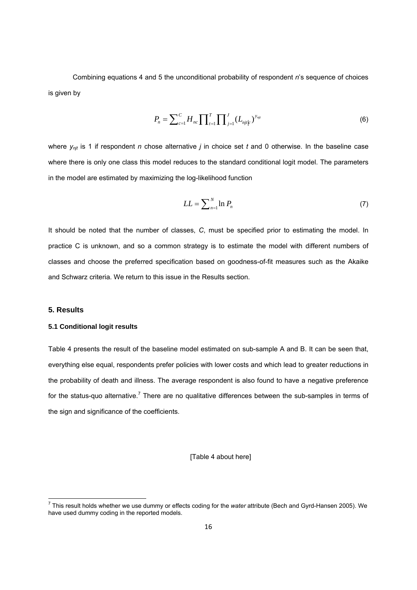Combining equations 4 and 5 the unconditional probability of respondent *n*'s sequence of choices is given by

$$
P_n = \sum_{c=1}^{C} H_{nc} \prod_{t=1}^{T} \prod_{j=1}^{J} (L_{njt|c})^{y_{njt}} \tag{6}
$$

where *ynjt* is 1 if respondent *n* chose alternative *j* in choice set *t* and 0 otherwise. In the baseline case where there is only one class this model reduces to the standard conditional logit model. The parameters in the model are estimated by maximizing the log-likelihood function

$$
LL = \sum_{n=1}^{N} \ln P_n \tag{7}
$$

It should be noted that the number of classes, *C*, must be specified prior to estimating the model. In practice C is unknown, and so a common strategy is to estimate the model with different numbers of classes and choose the preferred specification based on goodness-of-fit measures such as the Akaike and Schwarz criteria. We return to this issue in the Results section.

#### **5. Results**

#### **5.1 Conditional logit results**

Table 4 presents the result of the baseline model estimated on sub-sample A and B. It can be seen that, everything else equal, respondents prefer policies with lower costs and which lead to greater reductions in the probability of death and illness. The average respondent is also found to have a negative preference for the status-quo alternative.<sup>7</sup> There are no qualitative differences between the sub-samples in terms of the sign and significance of the coefficients.

[Table 4 about here]

 7 This result holds whether we use dummy or effects coding for the *water* attribute (Bech and Gyrd-Hansen 2005). We have used dummy coding in the reported models.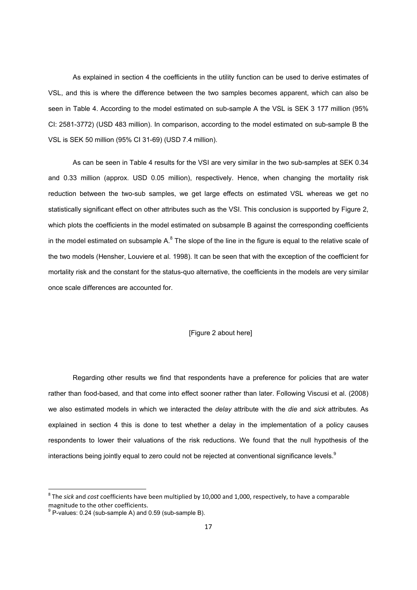As explained in section 4 the coefficients in the utility function can be used to derive estimates of VSL, and this is where the difference between the two samples becomes apparent, which can also be seen in Table 4. According to the model estimated on sub-sample A the VSL is SEK 3 177 million (95%) CI: 2581-3772) (USD 483 million). In comparison, according to the model estimated on sub-sample B the VSL is SEK 50 million (95% CI 31-69) (USD 7.4 million).

As can be seen in Table 4 results for the VSI are very similar in the two sub-samples at SEK 0.34 and 0.33 million (approx. USD 0.05 million), respectively. Hence, when changing the mortality risk reduction between the two-sub samples, we get large effects on estimated VSL whereas we get no statistically significant effect on other attributes such as the VSI. This conclusion is supported by Figure 2, which plots the coefficients in the model estimated on subsample B against the corresponding coefficients in the model estimated on subsample A. $^8$  The slope of the line in the figure is equal to the relative scale of the two models (Hensher, Louviere et al. 1998). It can be seen that with the exception of the coefficient for mortality risk and the constant for the status-quo alternative, the coefficients in the models are very similar once scale differences are accounted for.

#### [Figure 2 about here]

Regarding other results we find that respondents have a preference for policies that are water rather than food-based, and that come into effect sooner rather than later. Following Viscusi et al. (2008) we also estimated models in which we interacted the *delay* attribute with the *die* and *sick* attributes. As explained in section 4 this is done to test whether a delay in the implementation of a policy causes respondents to lower their valuations of the risk reductions. We found that the null hypothesis of the interactions being jointly equal to zero could not be rejected at conventional significance levels.<sup>9</sup>

<sup>8</sup> The *sick* and *cost* coefficients have been multiplied by 10,000 and 1,000, respectively, to have a comparable magnitude to the other coefficients. <sup>9</sup>

 $9^9$  P-values: 0.24 (sub-sample A) and 0.59 (sub-sample B).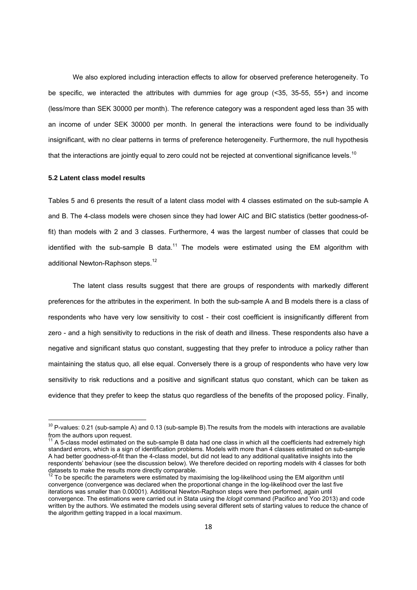We also explored including interaction effects to allow for observed preference heterogeneity. To be specific, we interacted the attributes with dummies for age group (<35, 35-55, 55+) and income (less/more than SEK 30000 per month). The reference category was a respondent aged less than 35 with an income of under SEK 30000 per month. In general the interactions were found to be individually insignificant, with no clear patterns in terms of preference heterogeneity. Furthermore, the null hypothesis that the interactions are jointly equal to zero could not be rejected at conventional significance levels.<sup>10</sup>

#### **5.2 Latent class model results**

Tables 5 and 6 presents the result of a latent class model with 4 classes estimated on the sub-sample A and B. The 4-class models were chosen since they had lower AIC and BIC statistics (better goodness-offit) than models with 2 and 3 classes. Furthermore, 4 was the largest number of classes that could be identified with the sub-sample B data.<sup>11</sup> The models were estimated using the EM algorithm with additional Newton-Raphson steps.<sup>12</sup>

 The latent class results suggest that there are groups of respondents with markedly different preferences for the attributes in the experiment. In both the sub-sample A and B models there is a class of respondents who have very low sensitivity to cost - their cost coefficient is insignificantly different from zero - and a high sensitivity to reductions in the risk of death and illness. These respondents also have a negative and significant status quo constant, suggesting that they prefer to introduce a policy rather than maintaining the status quo, all else equal. Conversely there is a group of respondents who have very low sensitivity to risk reductions and a positive and significant status quo constant, which can be taken as evidence that they prefer to keep the status quo regardless of the benefits of the proposed policy. Finally,

 $10$  P-values: 0.21 (sub-sample A) and 0.13 (sub-sample B). The results from the models with interactions are available from the authors upon request.

<sup>11</sup> A 5-class model estimated on the sub-sample B data had one class in which all the coefficients had extremely high standard errors, which is a sign of identification problems. Models with more than 4 classes estimated on sub-sample A had better goodness-of-fit than the 4-class model, but did not lead to any additional qualitative insights into the respondents' behaviour (see the discussion below). We therefore decided on reporting models with 4 classes for both datasets to make the results more directly comparable.

<sup>12</sup> To be specific the parameters were estimated by maximising the log-likelihood using the EM algorithm until convergence (convergence was declared when the proportional change in the log-likelihood over the last five iterations was smaller than 0.00001). Additional Newton-Raphson steps were then performed, again until convergence. The estimations were carried out in Stata using the *lclogit* command (Pacifico and Yoo 2013) and code written by the authors. We estimated the models using several different sets of starting values to reduce the chance of the algorithm getting trapped in a local maximum.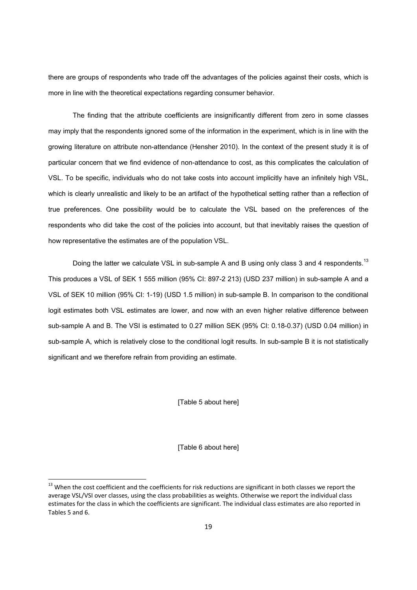there are groups of respondents who trade off the advantages of the policies against their costs, which is more in line with the theoretical expectations regarding consumer behavior.

 The finding that the attribute coefficients are insignificantly different from zero in some classes may imply that the respondents ignored some of the information in the experiment, which is in line with the growing literature on attribute non-attendance (Hensher 2010). In the context of the present study it is of particular concern that we find evidence of non-attendance to cost, as this complicates the calculation of VSL. To be specific, individuals who do not take costs into account implicitly have an infinitely high VSL, which is clearly unrealistic and likely to be an artifact of the hypothetical setting rather than a reflection of true preferences. One possibility would be to calculate the VSL based on the preferences of the respondents who did take the cost of the policies into account, but that inevitably raises the question of how representative the estimates are of the population VSL.

Doing the latter we calculate VSL in sub-sample A and B using only class 3 and 4 respondents.<sup>13</sup> This produces a VSL of SEK 1 555 million (95% CI: 897-2 213) (USD 237 million) in sub-sample A and a VSL of SEK 10 million (95% CI: 1-19) (USD 1.5 million) in sub-sample B. In comparison to the conditional logit estimates both VSL estimates are lower, and now with an even higher relative difference between sub-sample A and B. The VSI is estimated to 0.27 million SEK (95% CI: 0.18-0.37) (USD 0.04 million) in sub-sample A, which is relatively close to the conditional logit results. In sub-sample B it is not statistically significant and we therefore refrain from providing an estimate.

[Table 5 about here]

[Table 6 about here]

 $13$  When the cost coefficient and the coefficients for risk reductions are significant in both classes we report the average VSL/VSI over classes, using the class probabilities as weights. Otherwise we report the individual class estimates for the class in which the coefficients are significant. The individual class estimates are also reported in Tables 5 and 6.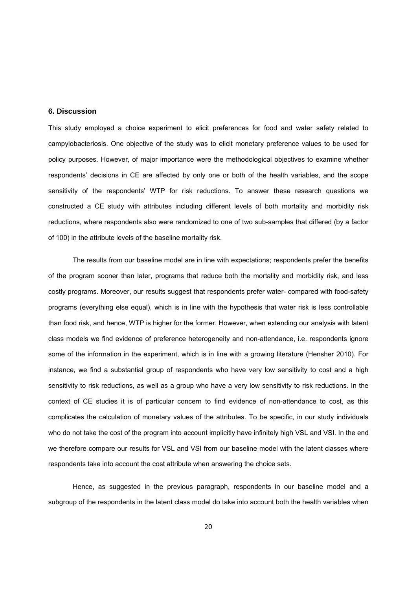## **6. Discussion**

This study employed a choice experiment to elicit preferences for food and water safety related to campylobacteriosis. One objective of the study was to elicit monetary preference values to be used for policy purposes. However, of major importance were the methodological objectives to examine whether respondents' decisions in CE are affected by only one or both of the health variables, and the scope sensitivity of the respondents' WTP for risk reductions. To answer these research questions we constructed a CE study with attributes including different levels of both mortality and morbidity risk reductions, where respondents also were randomized to one of two sub-samples that differed (by a factor of 100) in the attribute levels of the baseline mortality risk.

 The results from our baseline model are in line with expectations; respondents prefer the benefits of the program sooner than later, programs that reduce both the mortality and morbidity risk, and less costly programs. Moreover, our results suggest that respondents prefer water- compared with food-safety programs (everything else equal), which is in line with the hypothesis that water risk is less controllable than food risk, and hence, WTP is higher for the former. However, when extending our analysis with latent class models we find evidence of preference heterogeneity and non-attendance, i.e. respondents ignore some of the information in the experiment, which is in line with a growing literature (Hensher 2010). For instance, we find a substantial group of respondents who have very low sensitivity to cost and a high sensitivity to risk reductions, as well as a group who have a very low sensitivity to risk reductions. In the context of CE studies it is of particular concern to find evidence of non-attendance to cost, as this complicates the calculation of monetary values of the attributes. To be specific, in our study individuals who do not take the cost of the program into account implicitly have infinitely high VSL and VSI. In the end we therefore compare our results for VSL and VSI from our baseline model with the latent classes where respondents take into account the cost attribute when answering the choice sets.

Hence, as suggested in the previous paragraph, respondents in our baseline model and a subgroup of the respondents in the latent class model do take into account both the health variables when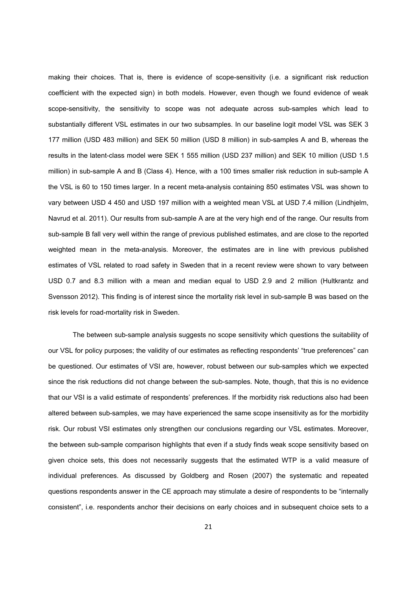making their choices. That is, there is evidence of scope-sensitivity (i.e. a significant risk reduction coefficient with the expected sign) in both models. However, even though we found evidence of weak scope-sensitivity, the sensitivity to scope was not adequate across sub-samples which lead to substantially different VSL estimates in our two subsamples. In our baseline logit model VSL was SEK 3 177 million (USD 483 million) and SEK 50 million (USD 8 million) in sub-samples A and B, whereas the results in the latent-class model were SEK 1 555 million (USD 237 million) and SEK 10 million (USD 1.5 million) in sub-sample A and B (Class 4). Hence, with a 100 times smaller risk reduction in sub-sample A the VSL is 60 to 150 times larger. In a recent meta-analysis containing 850 estimates VSL was shown to vary between USD 4 450 and USD 197 million with a weighted mean VSL at USD 7.4 million (Lindhjelm, Navrud et al. 2011). Our results from sub-sample A are at the very high end of the range. Our results from sub-sample B fall very well within the range of previous published estimates, and are close to the reported weighted mean in the meta-analysis. Moreover, the estimates are in line with previous published estimates of VSL related to road safety in Sweden that in a recent review were shown to vary between USD 0.7 and 8.3 million with a mean and median equal to USD 2.9 and 2 million (Hultkrantz and Svensson 2012). This finding is of interest since the mortality risk level in sub-sample B was based on the risk levels for road-mortality risk in Sweden.

The between sub-sample analysis suggests no scope sensitivity which questions the suitability of our VSL for policy purposes; the validity of our estimates as reflecting respondents' "true preferences" can be questioned. Our estimates of VSI are, however, robust between our sub-samples which we expected since the risk reductions did not change between the sub-samples. Note, though, that this is no evidence that our VSI is a valid estimate of respondents' preferences. If the morbidity risk reductions also had been altered between sub-samples, we may have experienced the same scope insensitivity as for the morbidity risk. Our robust VSI estimates only strengthen our conclusions regarding our VSL estimates. Moreover, the between sub-sample comparison highlights that even if a study finds weak scope sensitivity based on given choice sets, this does not necessarily suggests that the estimated WTP is a valid measure of individual preferences. As discussed by Goldberg and Rosen (2007) the systematic and repeated questions respondents answer in the CE approach may stimulate a desire of respondents to be "internally consistent", i.e. respondents anchor their decisions on early choices and in subsequent choice sets to a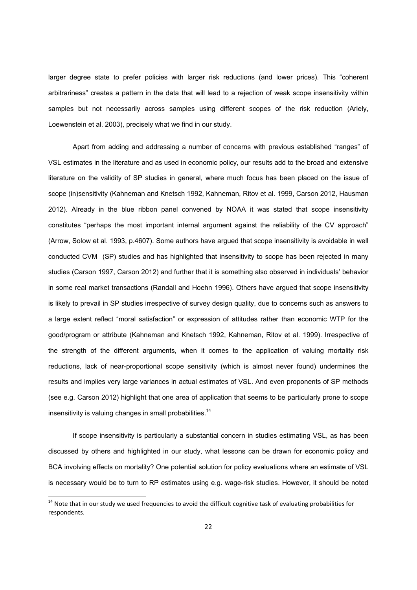larger degree state to prefer policies with larger risk reductions (and lower prices). This "coherent arbitrariness" creates a pattern in the data that will lead to a rejection of weak scope insensitivity within samples but not necessarily across samples using different scopes of the risk reduction (Ariely, Loewenstein et al. 2003), precisely what we find in our study.

Apart from adding and addressing a number of concerns with previous established "ranges" of VSL estimates in the literature and as used in economic policy, our results add to the broad and extensive literature on the validity of SP studies in general, where much focus has been placed on the issue of scope (in)sensitivity (Kahneman and Knetsch 1992, Kahneman, Ritov et al. 1999, Carson 2012, Hausman 2012). Already in the blue ribbon panel convened by NOAA it was stated that scope insensitivity constitutes "perhaps the most important internal argument against the reliability of the CV approach" (Arrow, Solow et al. 1993, p.4607). Some authors have argued that scope insensitivity is avoidable in well conducted CVM (SP) studies and has highlighted that insensitivity to scope has been rejected in many studies (Carson 1997, Carson 2012) and further that it is something also observed in individuals' behavior in some real market transactions (Randall and Hoehn 1996). Others have argued that scope insensitivity is likely to prevail in SP studies irrespective of survey design quality, due to concerns such as answers to a large extent reflect "moral satisfaction" or expression of attitudes rather than economic WTP for the good/program or attribute (Kahneman and Knetsch 1992, Kahneman, Ritov et al. 1999). Irrespective of the strength of the different arguments, when it comes to the application of valuing mortality risk reductions, lack of near-proportional scope sensitivity (which is almost never found) undermines the results and implies very large variances in actual estimates of VSL. And even proponents of SP methods (see e.g. Carson 2012) highlight that one area of application that seems to be particularly prone to scope insensitivity is valuing changes in small probabilities.<sup>14</sup>

If scope insensitivity is particularly a substantial concern in studies estimating VSL, as has been discussed by others and highlighted in our study, what lessons can be drawn for economic policy and BCA involving effects on mortality? One potential solution for policy evaluations where an estimate of VSL is necessary would be to turn to RP estimates using e.g. wage-risk studies. However, it should be noted

<sup>&</sup>lt;sup>14</sup> Note that in our study we used frequencies to avoid the difficult cognitive task of evaluating probabilities for respondents.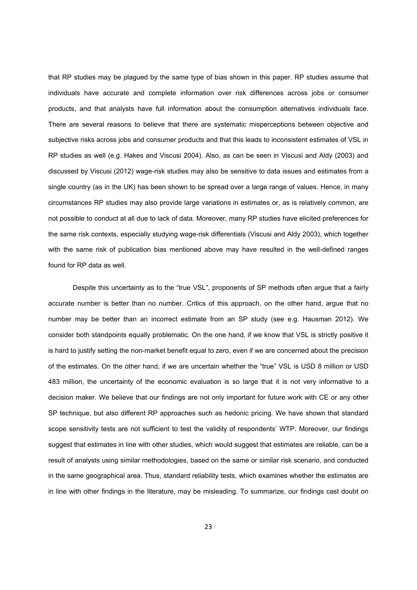that RP studies may be plagued by the same type of bias shown in this paper. RP studies assume that individuals have accurate and complete information over risk differences across jobs or consumer products, and that analysts have full information about the consumption alternatives individuals face. There are several reasons to believe that there are systematic misperceptions between objective and subjective risks across jobs and consumer products and that this leads to inconsistent estimates of VSL in RP studies as well (e.g. Hakes and Viscusi 2004). Also, as can be seen in Viscusi and Aldy (2003) and discussed by Viscusi (2012) wage-risk studies may also be sensitive to data issues and estimates from a single country (as in the UK) has been shown to be spread over a large range of values. Hence, in many circumstances RP studies may also provide large variations in estimates or, as is relatively common, are not possible to conduct at all due to lack of data. Moreover, many RP studies have elicited preferences for the same risk contexts, especially studying wage-risk differentials (Viscusi and Aldy 2003), which together with the same risk of publication bias mentioned above may have resulted in the well-defined ranges found for RP data as well.

Despite this uncertainty as to the "true VSL", proponents of SP methods often argue that a fairly accurate number is better than no number. Critics of this approach, on the other hand, argue that no number may be better than an incorrect estimate from an SP study (see e.g. Hausman 2012). We consider both standpoints equally problematic. On the one hand, if we know that VSL is strictly positive it is hard to justify setting the non-market benefit equal to zero, even if we are concerned about the precision of the estimates. On the other hand, if we are uncertain whether the "true" VSL is USD 8 million or USD 483 million, the uncertainty of the economic evaluation is so large that it is not very informative to a decision maker. We believe that our findings are not only important for future work with CE or any other SP technique, but also different RP approaches such as hedonic pricing. We have shown that standard scope sensitivity tests are not sufficient to test the validity of respondents' WTP. Moreover, our findings suggest that estimates in line with other studies, which would suggest that estimates are reliable, can be a result of analysts using similar methodologies, based on the same or similar risk scenario, and conducted in the same geographical area. Thus, standard reliability tests, which examines whether the estimates are in line with other findings in the literature, may be misleading. To summarize, our findings cast doubt on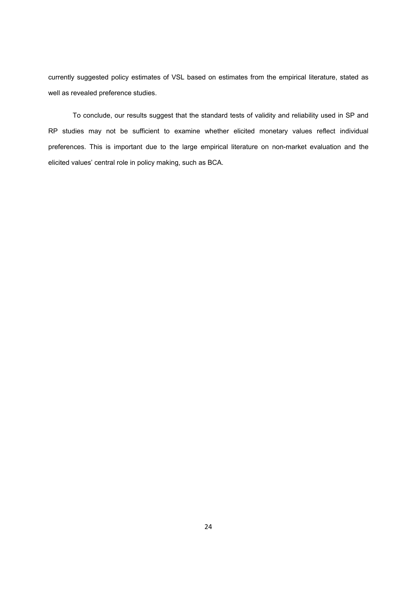currently suggested policy estimates of VSL based on estimates from the empirical literature, stated as well as revealed preference studies.

To conclude, our results suggest that the standard tests of validity and reliability used in SP and RP studies may not be sufficient to examine whether elicited monetary values reflect individual preferences. This is important due to the large empirical literature on non-market evaluation and the elicited values' central role in policy making, such as BCA.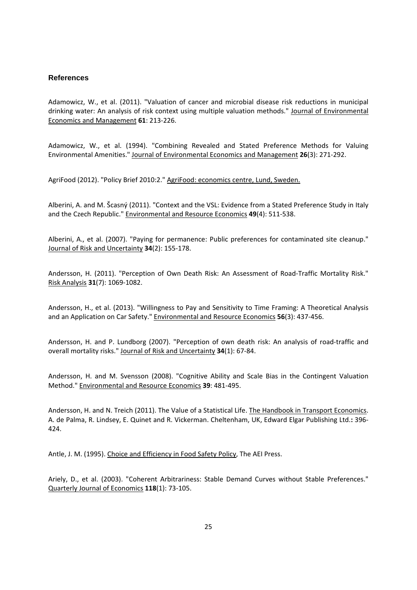#### **References**

Adamowicz, W., et al. (2011). "Valuation of cancer and microbial disease risk reductions in municipal drinking water: An analysis of risk context using multiple valuation methods." Journal of Environmental Economics and Management **61**: 213‐226.

Adamowicz, W., et al. (1994). "Combining Revealed and Stated Preference Methods for Valuing Environmental Amenities." Journal of Environmental Economics and Management **26**(3): 271‐292.

AgriFood (2012). "Policy Brief 2010:2." AgriFood: economics centre, Lund, Sweden.

Alberini, A. and M. Šcasný (2011). "Context and the VSL: Evidence from a Stated Preference Study in Italy and the Czech Republic." Environmental and Resource Economics **49**(4): 511‐538.

Alberini, A., et al. (2007). "Paying for permanence: Public preferences for contaminated site cleanup." Journal of Risk and Uncertainty **34**(2): 155‐178.

Andersson, H. (2011). "Perception of Own Death Risk: An Assessment of Road‐Traffic Mortality Risk." Risk Analysis **31**(7): 1069‐1082.

Andersson, H., et al. (2013). "Willingness to Pay and Sensitivity to Time Framing: A Theoretical Analysis and an Application on Car Safety." Environmental and Resource Economics **56**(3): 437‐456.

Andersson, H. and P. Lundborg (2007). "Perception of own death risk: An analysis of road‐traffic and overall mortality risks." Journal of Risk and Uncertainty **34**(1): 67‐84.

Andersson, H. and M. Svensson (2008). "Cognitive Ability and Scale Bias in the Contingent Valuation Method." Environmental and Resource Economics **39**: 481‐495.

Andersson, H. and N. Treich (2011). The Value of a Statistical Life. The Handbook in Transport Economics. A. de Palma, R. Lindsey, E. Quinet and R. Vickerman. Cheltenham, UK, Edward Elgar Publishing Ltd.**:** 396‐ 424.

Antle, J. M. (1995). Choice and Efficiency in Food Safety Policy, The AEI Press.

Ariely, D., et al. (2003). "Coherent Arbitrariness: Stable Demand Curves without Stable Preferences." Quarterly Journal of Economics **118**(1): 73‐105.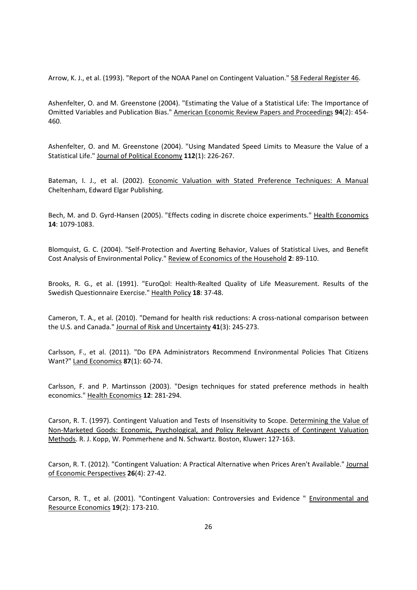Arrow, K. J., et al. (1993). "Report of the NOAA Panel on Contingent Valuation." 58 Federal Register 46.

Ashenfelter, O. and M. Greenstone (2004). "Estimating the Value of a Statistical Life: The Importance of Omitted Variables and Publication Bias." American Economic Review Papers and Proceedings **94**(2): 454‐ 460.

Ashenfelter, O. and M. Greenstone (2004). "Using Mandated Speed Limits to Measure the Value of a Statistical Life." Journal of Political Economy **112**(1): 226‐267.

Bateman, I. J., et al. (2002). Economic Valuation with Stated Preference Techniques: A Manual Cheltenham, Edward Elgar Publishing.

Bech, M. and D. Gyrd-Hansen (2005). "Effects coding in discrete choice experiments." Health Economics **14**: 1079‐1083.

Blomquist, G. C. (2004). "Self‐Protection and Averting Behavior, Values of Statistical Lives, and Benefit Cost Analysis of Environmental Policy." Review of Economics of the Household **2**: 89‐110.

Brooks, R. G., et al. (1991). "EuroQol: Health‐Realted Quality of Life Measurement. Results of the Swedish Questionnaire Exercise." Health Policy **18**: 37‐48.

Cameron, T. A., et al. (2010). "Demand for health risk reductions: A cross‐national comparison between the U.S. and Canada." Journal of Risk and Uncertainty **41**(3): 245‐273.

Carlsson, F., et al. (2011). "Do EPA Administrators Recommend Environmental Policies That Citizens Want?" Land Economics **87**(1): 60‐74.

Carlsson, F. and P. Martinsson (2003). "Design techniques for stated preference methods in health economics." Health Economics **12**: 281‐294.

Carson, R. T. (1997). Contingent Valuation and Tests of Insensitivity to Scope. Determining the Value of Non‐Marketed Goods: Economic, Psychological, and Policy Relevant Aspects of Contingent Valuation Methods. R. J. Kopp, W. Pommerhene and N. Schwartz. Boston, Kluwer**:** 127‐163.

Carson, R. T. (2012). "Contingent Valuation: A Practical Alternative when Prices Aren't Available." Journal of Economic Perspectives **26**(4): 27‐42.

Carson, R. T., et al. (2001). "Contingent Valuation: Controversies and Evidence " Environmental and Resource Economics **19**(2): 173‐210.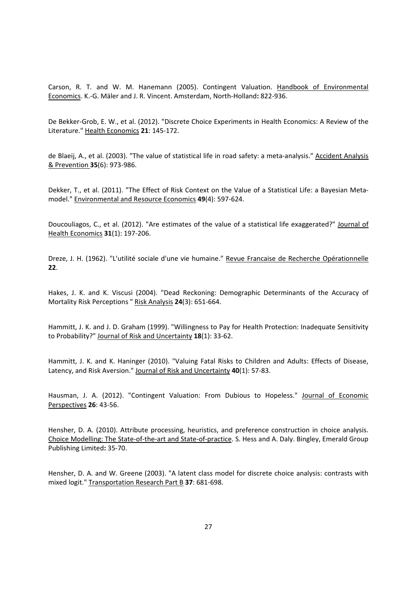Carson, R. T. and W. M. Hanemann (2005). Contingent Valuation. Handbook of Environmental Economics. K.‐G. Mäler and J. R. Vincent. Amsterdam, North‐Holland**:** 822‐936.

De Bekker‐Grob, E. W., et al. (2012). "Discrete Choice Experiments in Health Economics: A Review of the Literature." Health Economics **21**: 145‐172.

de Blaeij, A., et al. (2003). "The value of statistical life in road safety: a meta‐analysis." Accident Analysis & Prevention **35**(6): 973‐986.

Dekker, T., et al. (2011). "The Effect of Risk Context on the Value of a Statistical Life: a Bayesian Metamodel." Environmental and Resource Economics **49**(4): 597‐624.

Doucouliagos, C., et al. (2012). "Are estimates of the value of a statistical life exaggerated?" Journal of Health Economics **31**(1): 197‐206.

Dreze, J. H. (1962). "L'utilité sociale d'une vie humaine." Revue Francaise de Recherche Opérationnelle **22**.

Hakes, J. K. and K. Viscusi (2004). "Dead Reckoning: Demographic Determinants of the Accuracy of Mortality Risk Perceptions " Risk Analysis **24**(3): 651‐664.

Hammitt, J. K. and J. D. Graham (1999). "Willingness to Pay for Health Protection: Inadequate Sensitivity to Probability?" Journal of Risk and Uncertainty **18**(1): 33‐62.

Hammitt, J. K. and K. Haninger (2010). "Valuing Fatal Risks to Children and Adults: Effects of Disease, Latency, and Risk Aversion." Journal of Risk and Uncertainty **40**(1): 57‐83.

Hausman, J. A. (2012). "Contingent Valuation: From Dubious to Hopeless." Journal of Economic Perspectives **26**: 43‐56.

Hensher, D. A. (2010). Attribute processing, heuristics, and preference construction in choice analysis. Choice Modelling: The State‐of‐the‐art and State‐of‐practice. S. Hess and A. Daly. Bingley, Emerald Group Publishing Limited**:** 35‐70.

Hensher, D. A. and W. Greene (2003). "A latent class model for discrete choice analysis: contrasts with mixed logit." Transportation Research Part B **37**: 681‐698.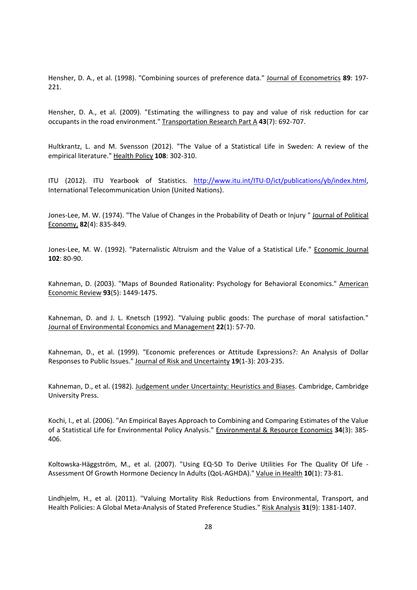Hensher, D. A., et al. (1998). "Combining sources of preference data." Journal of Econometrics **89**: 197‐ 221.

Hensher, D. A., et al. (2009). "Estimating the willingness to pay and value of risk reduction for car occupants in the road environment." Transportation Research Part A **43**(7): 692‐707.

Hultkrantz, L. and M. Svensson (2012). "The Value of a Statistical Life in Sweden: A review of the empirical literature." Health Policy **108**: 302‐310.

ITU (2012). ITU Yearbook of Statistics. http://www.itu.int/ITU‐D/ict/publications/yb/index.html, International Telecommunication Union (United Nations).

Jones‐Lee, M. W. (1974). "The Value of Changes in the Probability of Death or Injury " Journal of Political Economy, **82**(4): 835‐849.

Jones‐Lee, M. W. (1992). "Paternalistic Altruism and the Value of a Statistical Life." Economic Journal **102**: 80‐90.

Kahneman, D. (2003). "Maps of Bounded Rationality: Psychology for Behavioral Economics." American Economic Review **93**(5): 1449‐1475.

Kahneman, D. and J. L. Knetsch (1992). "Valuing public goods: The purchase of moral satisfaction." Journal of Environmental Economics and Management **22**(1): 57‐70.

Kahneman, D., et al. (1999). "Economic preferences or Attitude Expressions?: An Analysis of Dollar Responses to Public Issues." Journal of Risk and Uncertainty **19**(1‐3): 203‐235.

Kahneman, D., et al. (1982). Judgement under Uncertainty: Heuristics and Biases. Cambridge, Cambridge University Press.

Kochi, I., et al. (2006). "An Empirical Bayes Approach to Combining and Comparing Estimates of the Value of a Statistical Life for Environmental Policy Analysis." Environmental & Resource Economics **34**(3): 385‐ 406.

Koltowska-Häggström, M., et al. (2007). "Using EQ-5D To Derive Utilities For The Quality Of Life -Assessment Of Growth Hormone Deciency In Adults (QoL‐AGHDA)." Value in Health **10**(1): 73‐81.

Lindhjelm, H., et al. (2011). "Valuing Mortality Risk Reductions from Environmental, Transport, and Health Policies: A Global Meta‐Analysis of Stated Preference Studies." Risk Analysis **31**(9): 1381‐1407.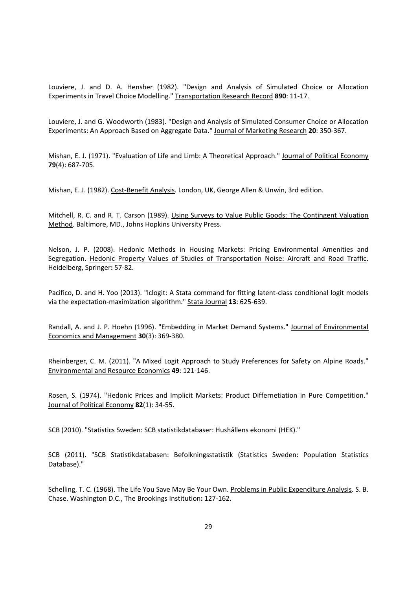Louviere, J. and D. A. Hensher (1982). "Design and Analysis of Simulated Choice or Allocation Experiments in Travel Choice Modelling." Transportation Research Record **890**: 11‐17.

Louviere, J. and G. Woodworth (1983). "Design and Analysis of Simulated Consumer Choice or Allocation Experiments: An Approach Based on Aggregate Data." Journal of Marketing Research **20**: 350‐367.

Mishan, E. J. (1971). "Evaluation of Life and Limb: A Theoretical Approach." Journal of Political Economy **79**(4): 687‐705.

Mishan, E. J. (1982). Cost‐Benefit Analysis. London, UK, George Allen & Unwin, 3rd edition.

Mitchell, R. C. and R. T. Carson (1989). Using Surveys to Value Public Goods: The Contingent Valuation Method. Baltimore, MD., Johns Hopkins University Press.

Nelson, J. P. (2008). Hedonic Methods in Housing Markets: Pricing Environmental Amenities and Segregation. Hedonic Property Values of Studies of Transportation Noise: Aircraft and Road Traffic. Heidelberg, Springer**:** 57‐82.

Pacifico, D. and H. Yoo (2013). "lclogit: A Stata command for fitting latent‐class conditional logit models via the expectation‐maximization algorithm." Stata Journal **13**: 625‐639.

Randall, A. and J. P. Hoehn (1996). "Embedding in Market Demand Systems." Journal of Environmental Economics and Management **30**(3): 369‐380.

Rheinberger, C. M. (2011). "A Mixed Logit Approach to Study Preferences for Safety on Alpine Roads." Environmental and Resource Economics **49**: 121‐146.

Rosen, S. (1974). "Hedonic Prices and Implicit Markets: Product Differnetiation in Pure Competition." Journal of Political Economy **82**(1): 34‐55.

SCB (2010). "Statistics Sweden: SCB statistikdatabaser: Hushållens ekonomi (HEK)."

SCB (2011). "SCB Statistikdatabasen: Befolkningsstatistik (Statistics Sweden: Population Statistics Database)."

Schelling, T. C. (1968). The Life You Save May Be Your Own. Problems in Public Expenditure Analysis. S. B. Chase. Washington D.C., The Brookings Institution**:** 127‐162.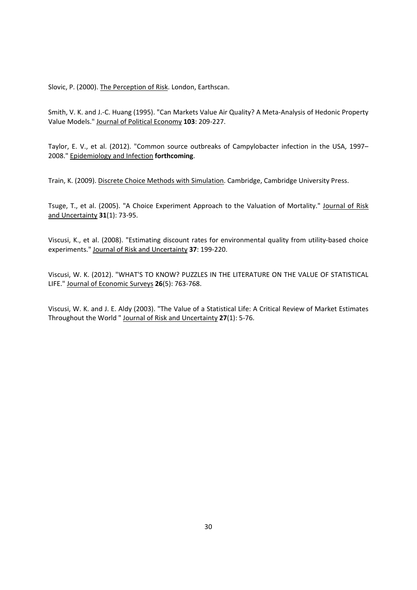Slovic, P. (2000). The Perception of Risk. London, Earthscan.

Smith, V. K. and J.-C. Huang (1995). "Can Markets Value Air Quality? A Meta-Analysis of Hedonic Property Value Models." Journal of Political Economy **103**: 209‐227.

Taylor, E. V., et al. (2012). "Common source outbreaks of Campylobacter infection in the USA, 1997– 2008." Epidemiology and Infection **forthcoming**.

Train, K. (2009). Discrete Choice Methods with Simulation. Cambridge, Cambridge University Press.

Tsuge, T., et al. (2005). "A Choice Experiment Approach to the Valuation of Mortality." Journal of Risk and Uncertainty **31**(1): 73‐95.

Viscusi, K., et al. (2008). "Estimating discount rates for environmental quality from utility‐based choice experiments." Journal of Risk and Uncertainty **37**: 199‐220.

Viscusi, W. K. (2012). "WHAT'S TO KNOW? PUZZLES IN THE LITERATURE ON THE VALUE OF STATISTICAL LIFE." Journal of Economic Surveys **26**(5): 763‐768.

Viscusi, W. K. and J. E. Aldy (2003). "The Value of a Statistical Life: A Critical Review of Market Estimates Throughout the World " Journal of Risk and Uncertainty **27**(1): 5‐76.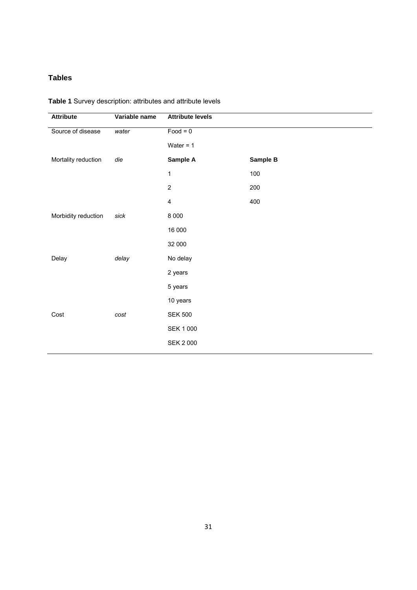# **Tables**

| <b>Attribute</b>    | Variable name | <b>Attribute levels</b> |          |
|---------------------|---------------|-------------------------|----------|
| Source of disease   | water         | $Food = 0$              |          |
|                     |               | Water = $1$             |          |
| Mortality reduction | die           | Sample A                | Sample B |
|                     |               | 1                       | 100      |
|                     |               | $\overline{c}$          | 200      |
|                     |               | 4                       | 400      |
| Morbidity reduction | sick          | 8 0 0 0                 |          |
|                     |               | 16 000                  |          |
|                     |               | 32 000                  |          |
| Delay               | delay         | No delay                |          |
|                     |               | 2 years                 |          |
|                     |               | 5 years                 |          |
|                     |               | 10 years                |          |
| Cost                | cost          | <b>SEK 500</b>          |          |
|                     |               | <b>SEK 1 000</b>        |          |
|                     |               | <b>SEK 2 000</b>        |          |
|                     |               |                         |          |

**Table 1** Survey description: attributes and attribute levels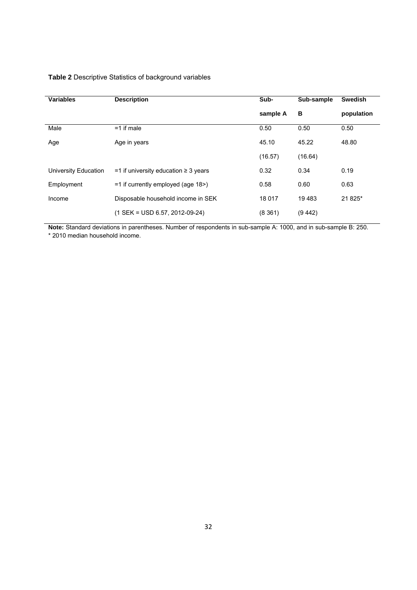## **Table 2** Descriptive Statistics of background variables

| <b>Variables</b>     | <b>Description</b>                           | Sub-     | Sub-sample | <b>Swedish</b> |
|----------------------|----------------------------------------------|----------|------------|----------------|
|                      |                                              | sample A | В          | population     |
| Male                 | $=1$ if male                                 | 0.50     | 0.50       | 0.50           |
| Age                  | Age in years                                 | 45.10    | 45.22      | 48.80          |
|                      |                                              | (16.57)  | (16.64)    |                |
| University Education | $=$ 1 if university education $\geq$ 3 years | 0.32     | 0.34       | 0.19           |
| Employment           | =1 if currently employed (age 18>)           | 0.58     | 0.60       | 0.63           |
| Income               | Disposable household income in SEK           | 18 0 17  | 19 4 8 3   | 21 825*        |
|                      | $(1$ SEK = USD 6.57, 2012-09-24)             | (8361)   | (9442)     |                |

**Note:** Standard deviations in parentheses. Number of respondents in sub-sample A: 1000, and in sub-sample B: 250. \* 2010 median household income.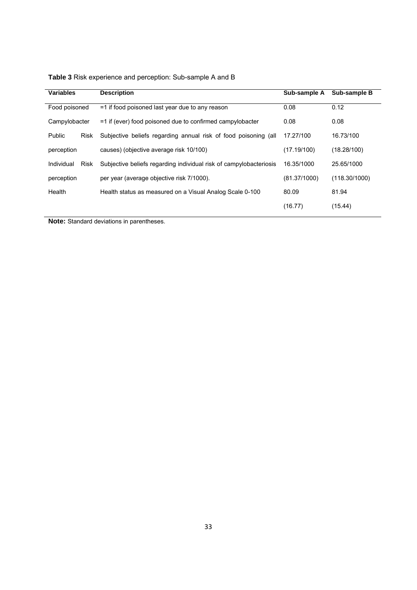|  |  |  |  | Table 3 Risk experience and perception: Sub-sample A and B |
|--|--|--|--|------------------------------------------------------------|
|--|--|--|--|------------------------------------------------------------|

| <b>Variables</b>   | <b>Description</b>                                                 |              | Sub-sample B  |
|--------------------|--------------------------------------------------------------------|--------------|---------------|
| Food poisoned      | =1 if food poisoned last year due to any reason                    | 0.08         | 0.12          |
| Campylobacter      | =1 if (ever) food poisoned due to confirmed campylobacter          | 0.08         | 0.08          |
| Public<br>Risk     | Subjective beliefs regarding annual risk of food poisoning (all    | 17.27/100    | 16.73/100     |
| perception         | causes) (objective average risk 10/100)                            | (17.19/100)  | (18.28/100)   |
| Individual<br>Risk | Subjective beliefs regarding individual risk of campylobacteriosis | 16.35/1000   | 25.65/1000    |
| perception         | per year (average objective risk 7/1000).                          | (81.37/1000) | (118.30/1000) |
| Health             | Health status as measured on a Visual Analog Scale 0-100           | 80.09        | 81.94         |
|                    |                                                                    | (16.77)      | (15.44)       |

**Note:** Standard deviations in parentheses.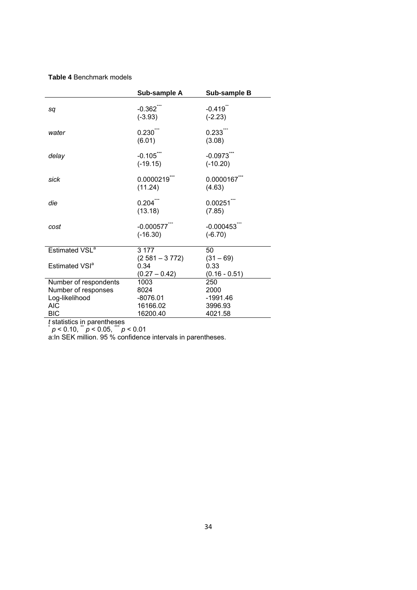## **Table 4** Benchmark models

|                            | Sub-sample A                               | Sub-sample B                           |
|----------------------------|--------------------------------------------|----------------------------------------|
| sq                         | $-0.362$ <sup>**</sup><br>$(-3.93)$        | $-0.419$<br>$(-2.23)$                  |
| water                      | $0.230$ ***<br>(6.01)                      | 0.233<br>(3.08)                        |
| delay                      | $-0.105$ ***<br>$(-19.15)$                 | $-0.0973$ ***<br>$(-10.20)$            |
| sick                       | 0.0000219<br>(11.24)                       | 0.0000167<br>(4.63)                    |
| die                        | $0.204$ ***<br>(13.18)                     | $0.00251$ ***<br>(7.85)                |
| cost                       | $-0.000577$<br>$(-16.30)$                  | $-0.000453$<br>$(-6.70)$               |
| Estimated VSL <sup>a</sup> | 3 1 7 7                                    | 50                                     |
| Estimated VSI <sup>a</sup> | $(2581 - 3772)$<br>0.34<br>$(0.27 - 0.42)$ | $(31 - 69)$<br>0.33<br>$(0.16 - 0.51)$ |
| Number of respondents      | 1003                                       | 250                                    |
| Number of responses        | 8024                                       | 2000                                   |
| Log-likelihood             | $-8076.01$                                 | $-1991.46$                             |
| <b>AIC</b>                 | 16166.02                                   | 3996.93                                |
| <b>BIC</b>                 | 16200.40                                   | 4021.58                                |

*t* statistics in parentheses

 $p < 0.10$ ,  $p < 0.05$ ,  $p < 0.01$ 

a:In SEK million. 95 % confidence intervals in parentheses.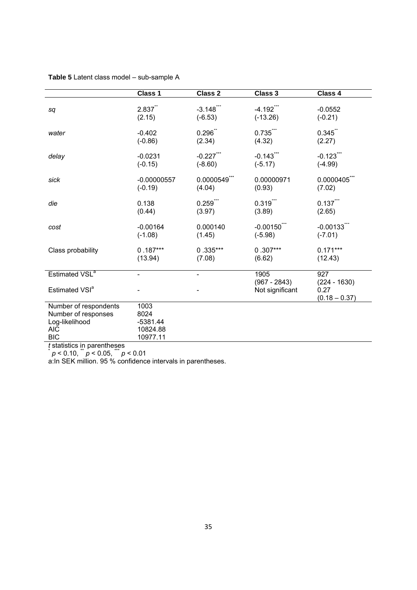|                              | Class 1                | <b>Class 2</b> | <b>Class 3</b>  | Class 4         |
|------------------------------|------------------------|----------------|-----------------|-----------------|
| sq                           | $2.837$ **             | $-3.148$       | $-4.192$ ***    | $-0.0552$       |
|                              | (2.15)                 | $(-6.53)$      | $(-13.26)$      | $(-0.21)$       |
|                              |                        |                |                 |                 |
| water                        | $-0.402$               | $0.296$ **     | $0.735***$      | 0.345           |
|                              | $(-0.86)$              | (2.34)         | (4.32)          | (2.27)          |
| delay                        | $-0.0231$              | $-0.227***$    | $-0.143$ ***    | $-0.123$ ***    |
|                              | $(-0.15)$              | $(-8.60)$      | $(-5.17)$       | $(-4.99)$       |
|                              |                        |                |                 |                 |
| sick                         | $-0.00000557$          | 0.0000549      | 0.00000971      | 0.0000405       |
|                              | $(-0.19)$              | (4.04)         | (0.93)          | (7.02)          |
|                              |                        |                |                 |                 |
| die                          | 0.138                  | $0.259***$     | $0.319***$      | $0.137***$      |
|                              | (0.44)                 | (3.97)         | (3.89)          | (2.65)          |
| cost                         | $-0.00164$             | 0.000140       | $-0.00150$ ***  | $-0.00133$ ***  |
|                              | $(-1.08)$              | (1.45)         | $(-5.98)$       | $(-7.01)$       |
|                              |                        |                |                 |                 |
| Class probability            | $0.187***$             | $0.335***$     | $0.307***$      | $0.171***$      |
|                              | (13.94)                | (7.08)         | (6.62)          | (12.43)         |
|                              |                        |                |                 |                 |
| Estimated VSL <sup>a</sup>   |                        | -              | 1905            | 927             |
|                              |                        |                | $(967 - 2843)$  | $(224 - 1630)$  |
| Estimated VSI <sup>a</sup>   |                        |                | Not significant | 0.27            |
|                              |                        |                |                 | $(0.18 - 0.37)$ |
| Number of respondents        | 1003                   |                |                 |                 |
| Number of responses          | 8024                   |                |                 |                 |
| Log-likelihood<br><b>AIC</b> | $-5381.44$<br>10824.88 |                |                 |                 |
| <b>BIC</b>                   | 10977.11               |                |                 |                 |
| t etatiation in noronthonoo  |                        |                |                 |                 |

**Table 5** Latent class model – sub-sample A

*t* statistics in parentheses

 $p < 0.10$ ,  $p < 0.05$ ,  $p < 0.01$ 

a:In SEK million. 95 % confidence intervals in parentheses.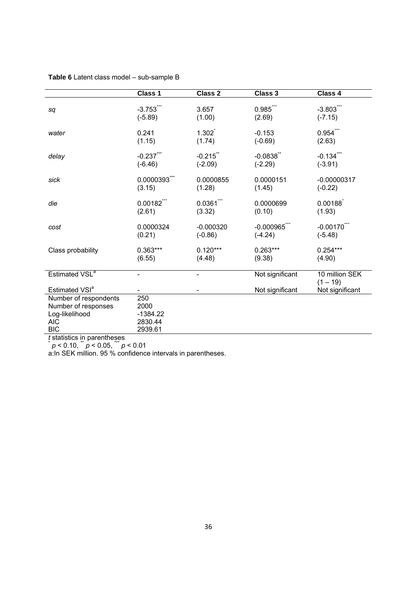|  |  |  |  | Table 6 Latent class model - sub-sample B |
|--|--|--|--|-------------------------------------------|
|--|--|--|--|-------------------------------------------|

|                                                                                            | Class 1                                         | Class 2     | Class 3         | Class 4                       |
|--------------------------------------------------------------------------------------------|-------------------------------------------------|-------------|-----------------|-------------------------------|
| sq                                                                                         | $-3.753$ ***                                    | 3.657       | $0.985***$      | $-3.803$ ***                  |
|                                                                                            | $(-5.89)$                                       | (1.00)      | (2.69)          | $(-7.15)$                     |
| water                                                                                      | 0.241                                           | 1.302       | $-0.153$        | $0.954***$                    |
|                                                                                            | (1.15)                                          | (1.74)      | $(-0.69)$       | (2.63)                        |
| delay                                                                                      | $-0.237***$                                     | $-0.215$ ** | $-0.0838$       | $-0.134$ ***                  |
|                                                                                            | $(-6.46)$                                       | $(-2.09)$   | $(-2.29)$       | $(-3.91)$                     |
| sick                                                                                       | 0.0000393***                                    | 0.0000855   | 0.0000151       | $-0.00000317$                 |
|                                                                                            | (3.15)                                          | (1.28)      | (1.45)          | $(-0.22)$                     |
| die                                                                                        | $0.00182$ ***                                   | $0.0361***$ | 0.0000699       | 0.00188                       |
|                                                                                            | (2.61)                                          | (3.32)      | (0.10)          | (1.93)                        |
| cost                                                                                       | 0.0000324                                       | $-0.000320$ | $-0.000965$ *** | $-0.00170$ ***                |
|                                                                                            | (0.21)                                          | $(-0.86)$   | $(-4.24)$       | $(-5.48)$                     |
| Class probability                                                                          | $0.363***$                                      | $0.120***$  | $0.263***$      | $0.254***$                    |
|                                                                                            | (6.55)                                          | (4.48)      | (9.38)          | (4.90)                        |
| Estimated VSL <sup>a</sup>                                                                 | -                                               |             | Not significant | 10 million SEK                |
| Estimated VSI <sup>a</sup>                                                                 |                                                 |             | Not significant | $(1 - 19)$<br>Not significant |
| Number of respondents<br>Number of responses<br>Log-likelihood<br><b>AIC</b><br><b>BIC</b> | 250<br>2000<br>$-1384.22$<br>2830.44<br>2939.61 |             |                 |                               |

*t* statistics in parentheses

 $p < 0.10$ ,  $p < 0.05$ ,  $p < 0.01$ 

a:In SEK million. 95 % confidence intervals in parentheses.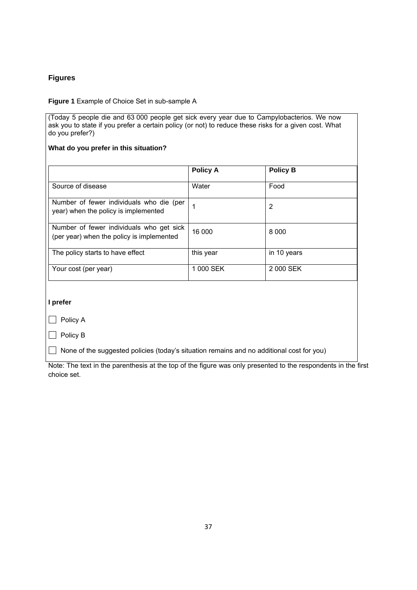## **Figures**

## **Figure 1** Example of Choice Set in sub-sample A

(Today 5 people die and 63 000 people get sick every year due to Campylobacterios. We now ask you to state if you prefer a certain policy (or not) to reduce these risks for a given cost. What do you prefer?)

## **What do you prefer in this situation?**

|                                                                                       | <b>Policy A</b> | <b>Policy B</b> |
|---------------------------------------------------------------------------------------|-----------------|-----------------|
| Source of disease                                                                     | Water           | Food            |
| Number of fewer individuals who die (per<br>year) when the policy is implemented      |                 | 2               |
| Number of fewer individuals who get sick<br>(per year) when the policy is implemented | 16 000          | 8000            |
| The policy starts to have effect                                                      | this year       | in 10 years     |
| Your cost (per year)                                                                  | 1 000 SEK       | 2 000 SEK       |

#### **I prefer**

 $\Box$  Policy A

□ Policy B

None of the suggested policies (today's situation remains and no additional cost for you)

Note: The text in the parenthesis at the top of the figure was only presented to the respondents in the first choice set.